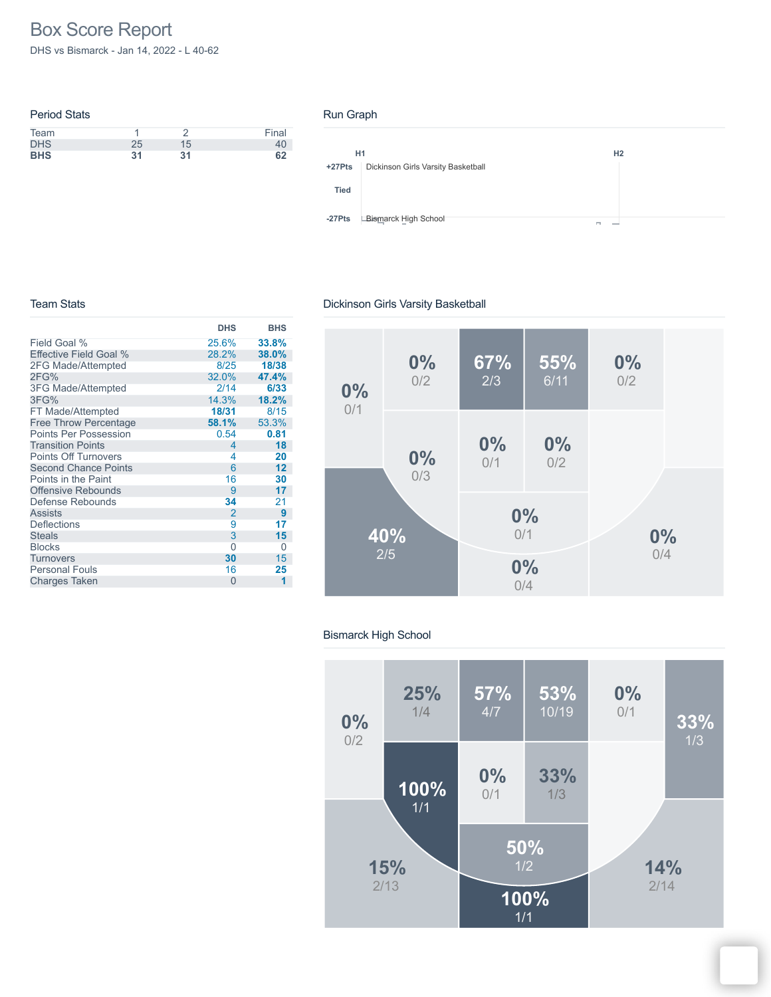# Box Score Report

DHS vs Bismarck - Jan 14, 2022 - L 40-62

| <b>Period Stats</b> |    |    |       |
|---------------------|----|----|-------|
| Team                |    |    | Final |
| <b>DHS</b>          | 25 | 15 | 40    |
| <b>BHS</b>          | 31 | 31 | 62    |

#### Run Graph



#### Team Stats

### Dickinson Girls Varsity Basketball

|                              | <b>DHS</b>     | <b>BHS</b> |
|------------------------------|----------------|------------|
| Field Goal %                 | 25.6%          | 33.8%      |
| Effective Field Goal %       | 28.2%          | 38.0%      |
| 2FG Made/Attempted           | 8/25           | 18/38      |
| 2FG%                         | 32.0%          | 47.4%      |
| 3FG Made/Attempted           | 2/14           | 6/33       |
| 3FG%                         | 14.3%          | 18.2%      |
| FT Made/Attempted            | 18/31          | 8/15       |
| <b>Free Throw Percentage</b> | 58.1%          | 53.3%      |
| <b>Points Per Possession</b> | 0.54           | 0.81       |
| <b>Transition Points</b>     | 4              | 18         |
| <b>Points Off Turnovers</b>  | 4              | 20         |
| <b>Second Chance Points</b>  | 6              | 12         |
| Points in the Paint          | 16             | 30         |
| <b>Offensive Rebounds</b>    | 9              | 17         |
| Defense Rebounds             | 34             | 21         |
| <b>Assists</b>               | $\overline{2}$ | 9          |
| <b>Deflections</b>           | 9              | 17         |
| <b>Steals</b>                | 3              | 15         |
| <b>Blocks</b>                | 0              | 0          |
| Turnovers                    | 30             | 15         |
| <b>Personal Fouls</b>        | 16             | 25         |
| <b>Charges Taken</b>         | $\Omega$       | 1          |



### Bismarck High School